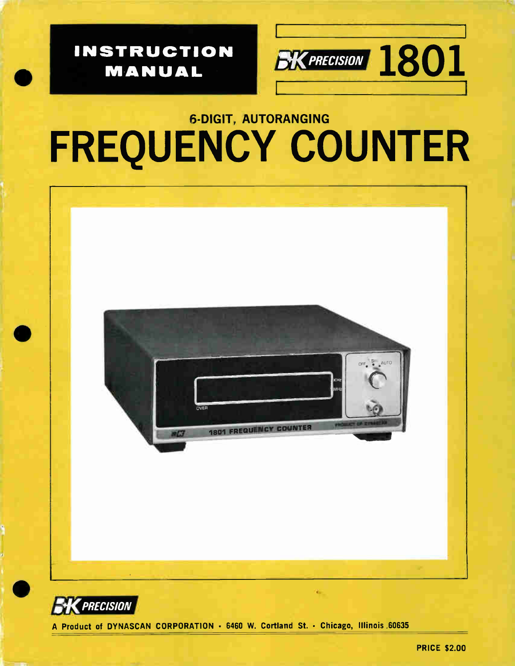

PRICE \$2.00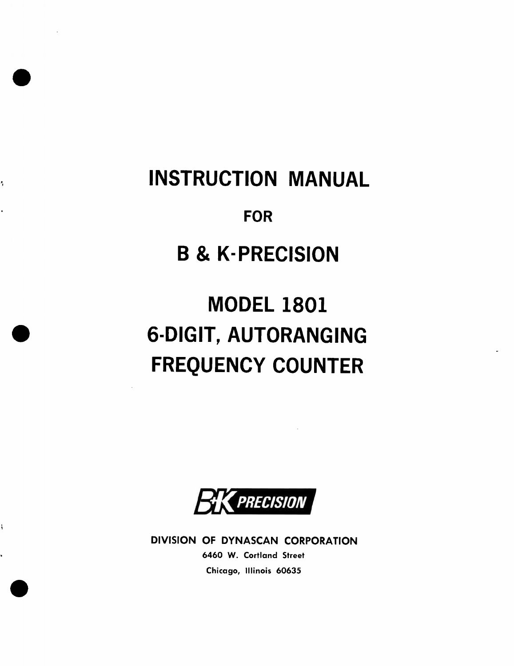# INSTRUCTION MANUAL

 $\bullet$ 

ł,

e

e

ì

k,

# FOR

# B & K-PRECISION

# MODEL 1801 6-DIGIT, AUTORANGING FREQUENCY COUNTER

PRECISION

DIVISION OF DYNASCAN CORPORATION 6460 W. Cortland Street Chicago, Illinois 60635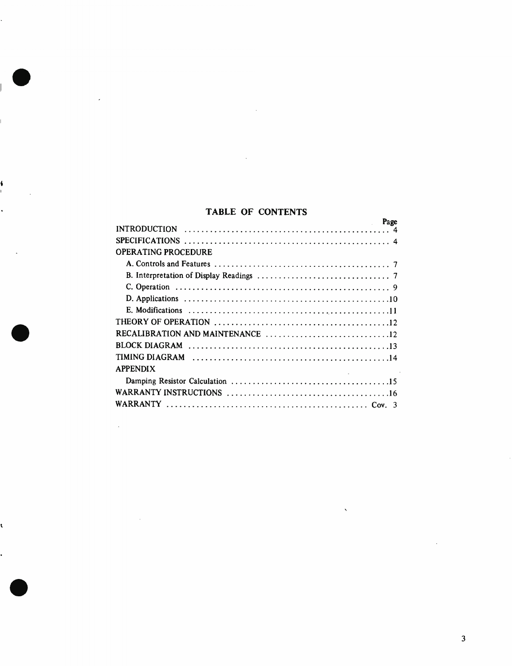# TABLE OF CONTENTS

•

4

•

•

| Page                                                                                               |  |
|----------------------------------------------------------------------------------------------------|--|
| INTRODUCTION $\ldots \ldots \ldots \ldots \ldots \ldots \ldots \ldots \ldots \ldots \ldots \ldots$ |  |
|                                                                                                    |  |
| OPERATING PROCEDURE                                                                                |  |
|                                                                                                    |  |
|                                                                                                    |  |
|                                                                                                    |  |
|                                                                                                    |  |
|                                                                                                    |  |
|                                                                                                    |  |
|                                                                                                    |  |
|                                                                                                    |  |
|                                                                                                    |  |
| <b>APPENDIX</b>                                                                                    |  |
|                                                                                                    |  |
|                                                                                                    |  |
|                                                                                                    |  |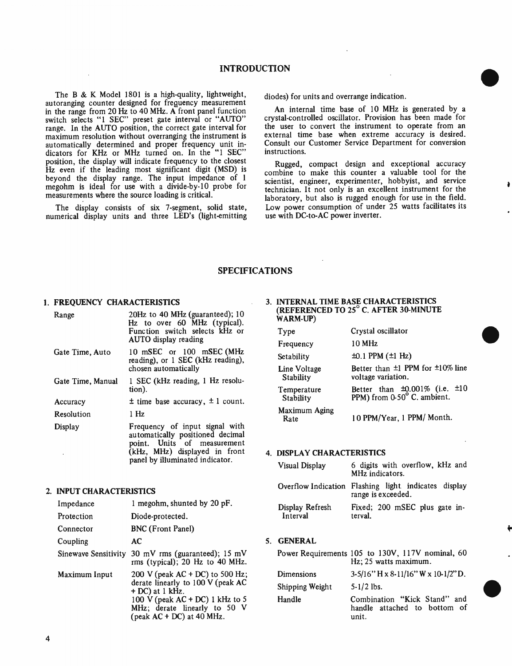The B & K Model 1801 is a high-quality, lightweight, autoranging counter designed for frequency measurement in the range from 20 Hz to 40 MHz. A front panel function switch selects  $\bf{1}$  SEC preset gate interval or  $\bf{A}$ UTO" range. In the AUTO position, the correct gate interval for maximum resolution without overranging the instrument is automatically determined and proper frequency unit indicators for KHz or MHz turned on. In the "1 SEC" position, the display will indicate frequency to the closest Hz even if the leading most significant digit (MSD) is beyond the display range. The input impedance of 1 megohm is ideal for use with a divide-by-10 probe for measurements where the source loading is critical.

The display consists of six 7-segment, solid state, numerical display units and three LED's (light-emitting diodes) for units and overrange indication.

An internal time base of 10 MHz is generated by a crystal-controlled oscillator. Provision has been made for the user to convert the instrument to operate from an external time base when extreme accuracy is desired. Consult our Customer Service Department for conversion instructions.

 $\bullet$ 

 $\bullet$ 

Rugged, compact design and exceptional accuracy combine to make this counter a valuable tool for the scientist, engineer, experimenter, hobbyist, and service technician. It not only is an excellent instrument for the laboratory, but also is rugged enough for use in the field. Low power consumption of under 25 watts facilitates its use with DC-to-AC power inverter.

# SPECIFICATIONS

### 1. FREQUENCY CHARACTERISTICS

| Range             | 20Hz to 40 MHz (guaranteed); 10<br>Hz to over 60 MHz (typical).<br>Function switch selects kHz or<br>AUTO display reading                                             |
|-------------------|-----------------------------------------------------------------------------------------------------------------------------------------------------------------------|
| Gate Time, Auto   | 10 mSEC or 100 mSEC (MHz<br>reading), or 1 SEC (kHz reading),<br>chosen automatically                                                                                 |
| Gate Time, Manual | 1 SEC (kHz reading, 1 Hz resolu-<br>tion).                                                                                                                            |
| Accuracy          | $\pm$ time base accuracy, $\pm$ 1 count.                                                                                                                              |
| Resolution        | 1 Hz                                                                                                                                                                  |
| Display           | Frequency of input signal with<br>automatically positioned decimal<br>point. Units of measurement<br>(kHz, MHz) displayed in front<br>panel by illuminated indicator. |

### 2. INPUT CHARACTERISTICS

| Impedance            | 1 megohm, shunted by 20 pF.                                                                                                                                                                     |
|----------------------|-------------------------------------------------------------------------------------------------------------------------------------------------------------------------------------------------|
| Protection           | Diode-protected.                                                                                                                                                                                |
| Connector            | <b>BNC</b> (Front Panel)                                                                                                                                                                        |
| Coupling             | AC                                                                                                                                                                                              |
| Sinewave Sensitivity | 30 mV rms (guaranteed); $15 \text{ mV}$<br>rms (typical); 20 Hz to 40 MHz.                                                                                                                      |
| Maximum Input        | 200 V (peak AC + DC) to 500 Hz;<br>derate linearly to 100 V (peak AC<br>$+DC$ ) at 1 kHz.<br>100 V (peak $AC + DC$ ) 1 kHz to 5<br>MHz; derate linearly to 50 V<br>(peak $AC + DC$ ) at 40 MHz. |

### 3. INTERNAL TIME BASE CHARACTERISTICS (REFERENCED TO 25° C. AFTER 30-MINUTE WARM-UP)

| Type                         | Crystal oscillator                                                      |
|------------------------------|-------------------------------------------------------------------------|
| Frequency                    | 10 MHz                                                                  |
| Setability                   | $\pm 0.1$ PPM $(\pm 1$ Hz)                                              |
| Line Voltage<br>Stability    | Better than $\pm 1$ PPM for $\pm 10\%$ line<br>voltage variation.       |
| Temperature<br>Stability     | Better than $\pm 0.001\%$ (i.e. $\pm 10$<br>PPM) from 0-50° C. ambient. |
| <b>Maximum Aging</b><br>Rate | 10 PPM/Year, 1 PPM/ Month.                                              |

### 4. DISPLAY CHARACTERISTICS

| <b>Visual Display</b>       | 6 digits with overflow, kHz and<br>MHz indicators.                         |
|-----------------------------|----------------------------------------------------------------------------|
|                             | Overflow Indication Flashing light indicates display<br>range is exceeded. |
| Display Refresh<br>Interval | Fixed; 200 mSEC plus gate in-<br>terval.                                   |

# 5. GENERAL

|                 | Power Requirements 105 to 130V, 117V nominal, 60<br>Hz; 25 watts maximum. |
|-----------------|---------------------------------------------------------------------------|
| Dimensions      | $3-5/16$ " H x 8-11/16" W x 10-1/2" D.                                    |
| Shipping Weight | $5 - 1/2$ lbs.                                                            |
| Handle          | Combination "Kick Stand" and<br>handle attached to bottom of<br>unit.     |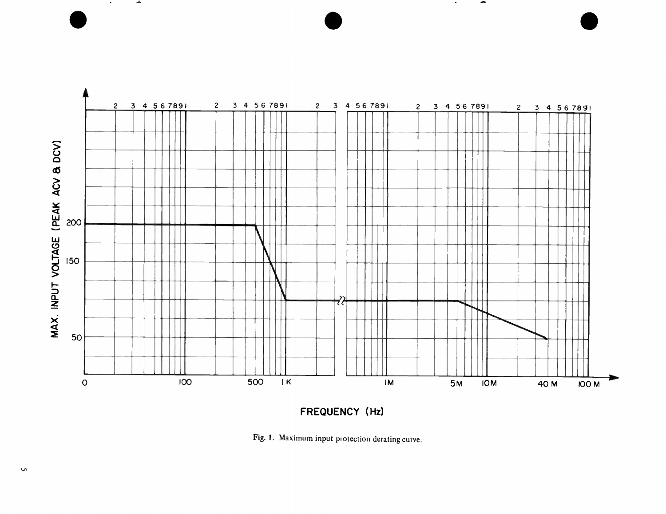

 $\bullet$   $\bullet$   $\bullet$   $\bullet$ 

 $\bullet^{\circ}$ 

 $\bullet$ 

FREQUENCY (Hz)

Fig. 1. Maximum input protection derating curve.

 $\bullet$ 

rite.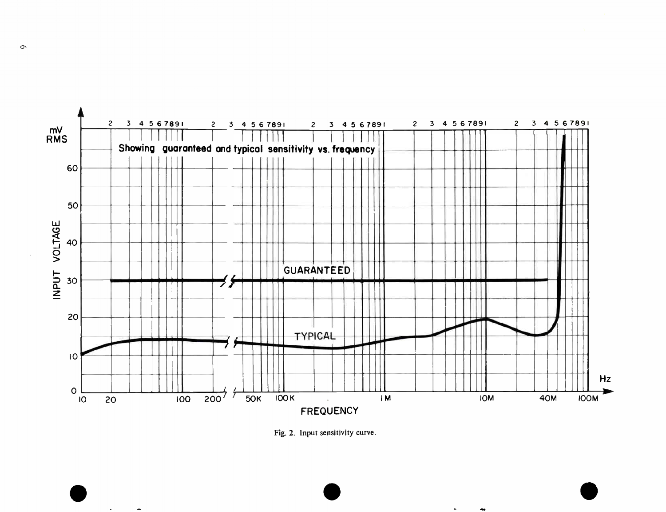

Fig. 2. Input sensitivity curve.

 $\bullet$   $\bullet$   $\bullet$ 

 $\circ$ 

 $\mathbf{A} = \mathbf{0}$  .

 $\overline{\phantom{a}}$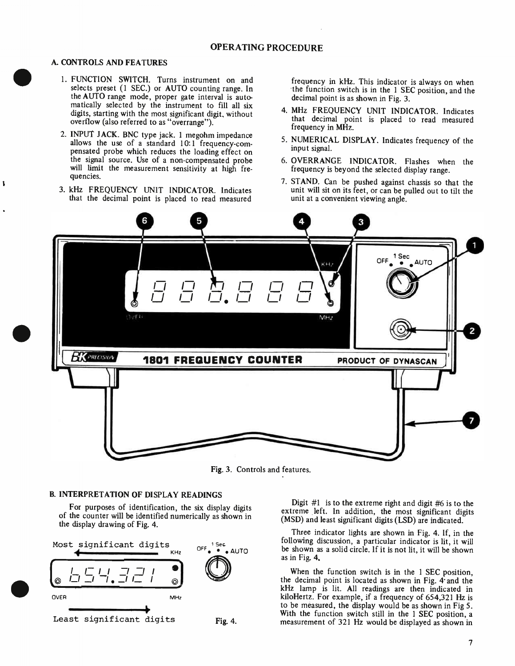# OPERATING PROCEDURE

- A. CONTROLS AND FEATURES<br>1. FUNCTION SWITCH. Turns instrument on and selects preset (1 SEC.) or AUTO counting range. In the AUTO range mode, proper gate interval is automatically selected by the instrument to fill all six digits, starting with the most significant digit, without overflow (also referred to as "overrange").
	- 2. INPUT JACK. BNC type jack. 1 megohm impedance allows the use of a standard 10:1 frequency-compensated probe which reduces the loading effect on the signal source. Use of a non-compensated probe will limit the measurement sensitivity at high frequencies.
	- 3. kHz FREQUENCY UNIT INDICATOR. Indicates that the decimal point is placed to read measured

frequency in kHz. This indicator is always on when the function switch is in the 1 SEC position, and the decimal point is as shown in Fig. 3.

- 4. MHz FREQUENCY UNIT INDICATOR. Indicates that decimal point is placed to read measured frequency in MHz.
- 5. NUMERICAL DISPLAY. Indicates frequency of the input signal.
- 6. OVERRANGE INDICATOR. Flashes when the frequency is beyond the selected display range.
- 7. STAND. Can be pushed against chassis so that the unit will sit on its feet, or can be pulled out to tilt the unit at a convenient viewing angle.



Fig. 3. Controls and features.

## B. INTERPRETATION OF DISPLAY READINGS

For purposes of identification, the six display digits of the counter will be identified numerically as shown in the display drawing of Fig. 4.



Digit #1 is to the extreme right and digit #6 is to the extreme left. In addition, the most significant digits (MSD) and least significant digits (LSD) are indicated.

Three indicator lights are shown in Fig. 4. If, in the following discussion, a particular indicator is lit, it will be shown as a solid circle. If it is not lit, it will be shown as in Fig. 4.

When the function switch is in the 1 SEC position, the decimal point is located as shown in Fig. 4' and the kHz lamp is lit. All readings are then indicated in kiloHertz. For example, if a frequency of 654,321 Hz is to be measured, the display would be as shown in Fig 5. With the function switch still in the 1 SEC position, a measurement of 321 Hz would be displayed as shown in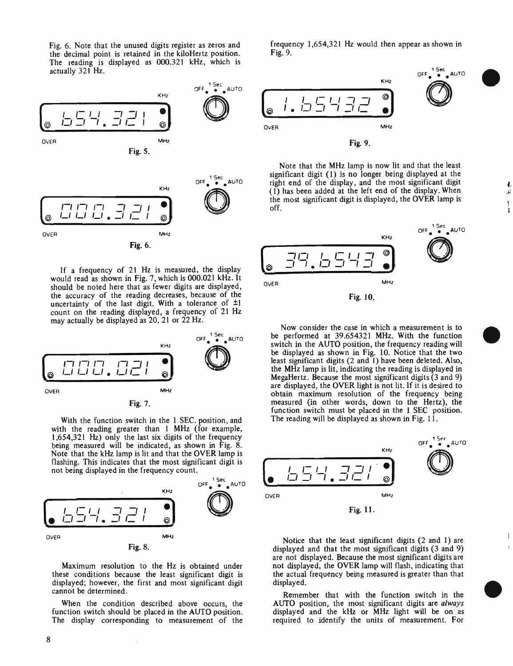Fig. 6. Note that the unused digits register as zeros and the decimal point is retained in the kiloHertz position. The reading is displayed as 000.321 kHz, which is actually 321 Hz.



If a frequency of 21 Hz is measured, the display would read as shown in Fig. 7, which is 000.021 kHz. It should be noted here that as fewer digits are displayed, the accuracy of the reading decreases, because of the uncertainty of the last digit. With a tolerance of ±1 count on the reading displayed, a frequency of 21 Hz may actually be displayed as 20, 21 or 22 Hz.



With the function switch in the 1 SEC. position, and with the reading greater than 1 MHz (for example, 1,654,321 Hz) only the last six digits of the frequency being measured will be indicated, as shown in Fig. 8. Note that the kHz lamp is lit and that the OVER lamp is flashing. This indicates that the most significant digit is not being displayed in the frequency count.



Maximum resolution to the Hz is obtained under these conditions because the least significant digit is displayed; however, the first and most significant digit cannot be determined.

When the condition described above occurs, the function switch should be placed in the AUTO position. The display corresponding to measurement of the frequency 1,654,321 Hz would then appear as shown in Fig. 9.



Note that the MHz lamp is now lit and that the least significant digit (1) is no longer being displayed at the right end of the display, and the most significant digit (1) has been added at the left end of the display. When the most significant digit is displayed, the OVER lamp is off.

Δî

 $\overline{1}$ 



Now consider the case in which a measurement is to be performed at 39.654321 MHz. With the function switch in the AUTO position, the frequency reading will be displayed as shown in Fig. 10. Notice that the two least significant digits ( $2$  and 1) have been deleted. Also, the MHz lamp is lit, indicating the reading is displayed in MegaHertz. Because the most significant digits (3 and 9) are displayed, the OVER light is not lit. If it is desired to obtain maximum resolution of the frequency being measured (in other words, down to the Hertz), the function switch must be placed in the 1 SEC position. The reading will be displayed as shown in Fig.  $11$ .



Notice that the least significant digits (2 and 1) are displayed and that the most significant digits (3 and 9) are not displayed. Because the most significant digits are not displayed, the OVER lamp will flash, indicating that the actual frequency being measured is greater than that displayed.

Remember that with the function switch in the AUTO position, the most significant digits are always displayed and the kHz or MHz light will be on as required to identify the units of measurement. For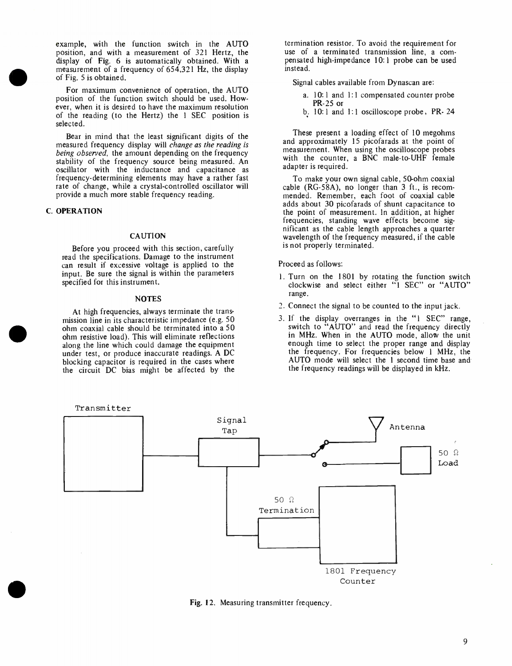$\bullet$   $\bullet$  of example, with the function switch in the AUTO position, and with a measurement of 321 Hertz, the display of Fig. 6 is automatically obtained. With a measurement of a frequency of 654,321 Hz, the display of Fig. 5 is obtained.

For maximum convenience of operation, the AUTO position of the function switch should be used. However, when it is desired to have the maximum resolution of the reading (to the Hertz) the 1 SEC position is selected.

Bear in mind that the least significant digits of the measured frequency display will change as the reading is being observed, the amount depending on the frequency stability of the frequency source being measured. An oscillator with the inductance and capacitance as frequency-determining elements may have a rather fast rate of change, while a crystal-controlled oscillator will provide a much more stable frequency reading.

### C. OPERATION

### CAUTION

Before you proceed with this section, carefully read the specifications. Damage to the instrument can result if excessive voltage is applied to the input. Be sure the signal is within the parameters specified for this instrument.

#### NOTES

At high frequencies, always terminate the transmission line in its characteristic impedance (e.g. 50 ohm coaxial cable should be terminated into a 50 ohm resistive load). This will eliminate reflections along the line which could damage the equipment under test, or produce inaccurate readings. A DC blocking capacitor is required in the cases where the circuit DC bias might be affected by the

termination resistor. To avoid the requirement for use of a terminated transmission line, a compensated high-impedance 10:1 probe can be used instead.

Signal cables available from Dynascan are:

- a. 10:1 and 1:1 compensated counter probe PR-25 or
- b. 10:1 and 1:1 oscilloscope probe, PR- 24

These present a loading effect of 10 megohms and approximately 15 picofarads at the point of measurement. When using the oscilloscope probes with the counter, a BNC male-to-UHF female adapter is required.

To make your own signal cable, 50-ohm coaxial cable (RG-58A), no longer than 3 ft., is recommended. Remember, each foot of coaxial cable adds about 30 picofarads of shunt capacitance to the point of measurement. In addition, at higher frequencies, standing wave effects become significant as the cable length approaches a quarter wavelength of the frequency measured, if the cable is not properly terminated.

Proceed as follows:

- 1. Turn on the 1801 by rotating the function switch clockwise and select either "1 SEC" or "AUTO" range.
- 2. Connect the signal to be counted to the input jack.
- 3. If the display overranges in the "1 SEC" range, switch to "AUTO" and read the frequency directly in MHz. When in the AUTO mode, allow the unit enough time to select the proper range and display the frequency. For frequencies below 1 MHz, the AUTO mode will select the 1 second time base and the frequency readings will be displayed in kHz.



Fig. 12. Measuring transmitter frequency.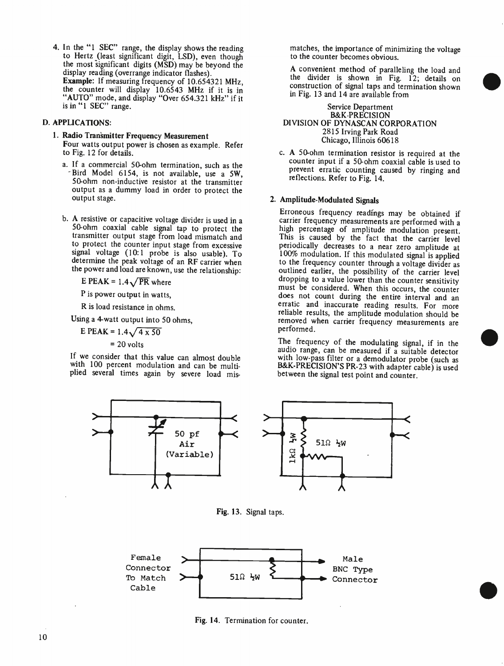4. In the "1 SEC" range, the display shows the reading to Hertz (least significant digit, LSD), even though the most significant digits (MSD) may be beyond the display reading (overrange indicator flashes). Example: If measuring frequency of 10.654321 MHz, the counter will display 10.6543 MHz if it is in "AUTO" mode, and display "Over 654.321 kHz" if it is in "1 SEC" range.

# D. APPLICATIONS:

- 1. Radio Transmitter Frequency Measurement Four watts output power is chosen as example. Refer to Fig. 12 for details.
	- a. If a commercial 50-ohm termination, such as the Bird Model 6154, is not available, use a 5W, 50-ohm non-inductive resistor at the transmitter output as a dummy load in order to protect the output stage.
	- b. A resistive or capacitive voltage divider is used in a 50-ohm coaxial cable signal tap to protect the transmitter output stage from load mismatch and to protect the counter input stage from excessive signal voltage (10:1 probe is also usable). To determine the peak voltage of an RF carrier when the power and load are known, use the relationship:

E PEAK =  $1.4\sqrt{PR}$  where

P is power output in watts,

R is load resistance in ohms.

Using a 4-watt output into 50 ohms,

E PEAK =  $1.4\sqrt{4 \times 50}$  $= 20$  volts

If we consider that this value can almost double with 100 percent modulation and can be multiplied several times again by severe load mis

matches, the importance of minimizing the voltage to the counter becomes obvious.

A convenient method of paralleling the load and the divider is shown in Fig. 12; details on construction of signal taps and termination shown in Fig. 13 and 14 are available from

### Service Department B&K-PRECISION DIVISION OF DYNASCAN CORPORATION 2815 Irving Park Road Chicago, Illinois 60618

c. A 50-ohm termination resistor is required at the counter input if a 50-ohm coaxial cable is used to prevent erratic counting caused by ringing and reflections. Refer to Fig. 14.

### 2. Amplitude-Modulated Signals

Erroneous frequency readings may be obtained if carrier frequency measurements are performed with a high percentage of amplitude modulation present. This is caused by the fact that the carrier level periodically decreases to a near zero amplitude at 100% modulation. If this modulated signal is applied to the frequency counter through a voltage divider as outlined earlier, the possibility of the carrier level dropping to a value lower than the counter sensitivity must be considered. When this occurs, the counter does not count during the entire interval and an erratic and inaccurate reading results. For more reliable results, the amplitude modulation should be removed when carrier frequency measurements are performed.

The frequency of the modulating signal, if in the audio range, can be measured if a suitable detector with low-pass filter or a demodulator probe (such as B&K-PRECISION'S PR-23 with adapter cable) is used between the signal test point and counter.



Fig. 13. Signal taps.



Fig. 14. Termination for counter.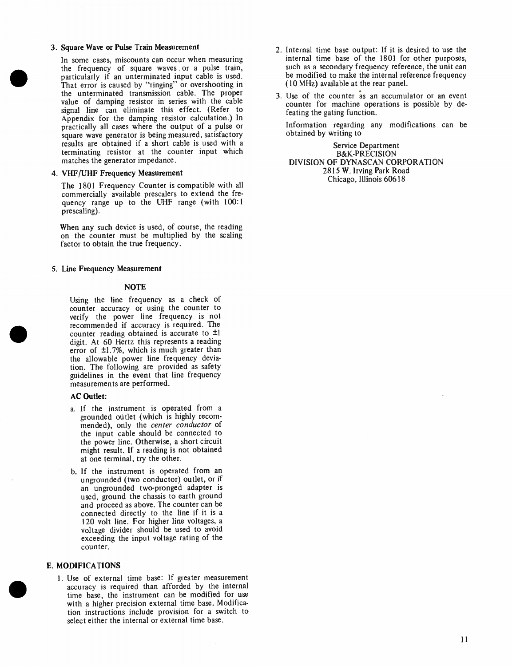## 3. Square Wave or Pulse Train Measurement

In some cases, miscounts can occur when measuring the frequency of square waves or a pulse train, particularly if an unterminated input cable is used. That error is caused by "ringing" or overshooting in the unterminated transmission cable. The proper value of damping resistor in series with the cable signal line can eliminate this effect. (Refer to Appendix for the damping resistor calculation.) In practically all cases where the output of a pulse or square wave generator is being measured, satisfactory results are obtained if a short cable is used with a terminating resistor at the counter input which matches the generator impedance.

### 4. VHF/UHF Frequency Measurement

The 1801 Frequency Counter is compatible with all commercially available prescalers to extend the frequency range up to the UHF range (with 100:1 prescaling).

When any such device is used, of course, the reading on the counter must be multiplied by the scaling factor to obtain the true frequency.

### 5. Line Frequency Measurement

### **NOTE**

Using the line frequency as a check of counter accuracy or using the counter to verify the power line frequency is not recommended if accuracy is required. The counter reading obtained is accurate to ±1 digit. At 60 Hertz this represents a reading error of ±1.7%, which is much greater than the allowable power line frequency deviation. The following are provided as safety guidelines in the event that line frequency measurements are performed.

### AC Outlet:

- a. If the instrument is operated from a grounded outlet (which is highly recommended), only the center conductor of the input cable should be connected to the power line. Otherwise, a short circuit might result. If a reading is not obtained at one terminal, try the other.
- b. If the instrument is operated from an ungrounded (two conductor) outlet, or if an ungrounded two-pronged adapter is used, ground the chassis to earth ground and proceed as above. The counter can be connected directly to the line if it is a 120 volt line. For higher line voltages, a voltage divider should be used to avoid exceeding the input voltage rating of the counter.

### E. MODIFICATIONS

1. Use of external time base: If greater measurement accuracy is required than afforded by the internal time base, the instrument can be modified for use with a higher precision external time base. Modification instructions include provision for a switch to select either the internal or external time base.

- 2. Internal time base output: If it is desired to use the internal time base of the 1801 for other purposes, such as a secondary frequency reference, the unit can be modified to make the internal reference frequency (10 MHz) available at the rear panel.
- 3. Use of the counter as an accumulator or an event counter for machine operations is possible by defeating the gating function.

Information regarding any modifications can be obtained by writing to

Service Department B&K-PRECISION DIVISION OF DYNASCAN CORPORATION 2815 W. Irving Park Road Chicago, Illinois 60618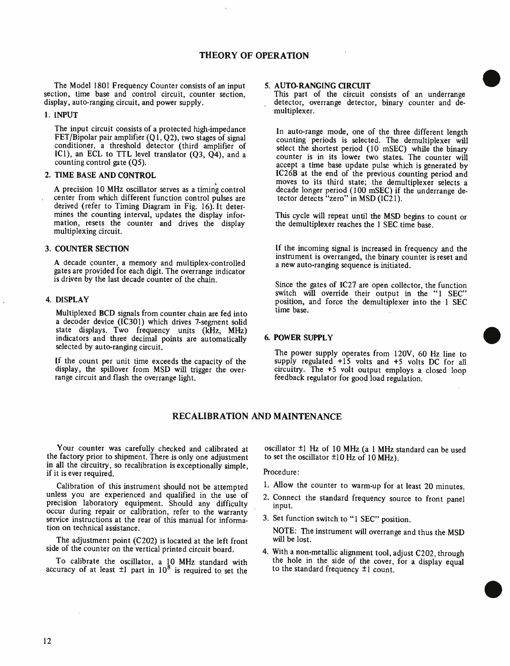# THEORY OF OPERATION

The Model 1801 Frequency Counter consists of an input section, time base and control circuit, counter section, display, auto-ranging circuit, and power supply.

### 1. INPUT

The input circuit consists of a protected high-impedance FET/Bipolar pair amplifier  $(Q1, Q2)$ , two stages of signal conditioner, a threshold detector (third amplifier of ICI), an ECL to TTL level translator (Q3, Q4), and a counting control gate (Q5).

### 2. TIME BASE AND CONTROL

A precision 10 MHz oscillator serves as a timing control center from which different function control pulses are derived (refer to Timing Diagram in Fig. 16). It determines the counting interval, updates the display information, resets the counter and drives the display multiplexing circuit.

### 3. COUNTER SECTION

A decade counter, a memory and multiplex-controlled gates are provided for each digit. The overrange indicator is driven by the last decade counter of the chain.

### 4. DISPLAY

Multiplexed BCD signals from counter chain are fed into a decoder device (IC301) which drives 7-segment solid state displays. Two frequency units (kHz, MHz) indicators and three decimal points are automatically selected by auto-ranging circuit.

If the count per unit time exceeds the capacity of the display, the spillover from MSD will trigger the overrange circuit and flash the overrange light.

### 5. AUTO-RANGING CIRCUIT

This part of the circuit consists of an underrange detector, overrange detector, binary counter and demultiplexer.

In auto-range mode, one of the three different length counting periods is selected. The demultiplexer will select the shortest period (10 mSEC) while the binary counter is in its lower two states. The counter will accept a time base update pulse which is generated by IC26B at the end of the previous counting period and moves to its third state; the demultiplexer selects a decade longer period (100 mSEC) if the underrange detector detects "zero" in MSD (IC21).

This cycle will repeat until the MSD begins to count or the demultiplexer reaches the 1 SEC time base.

If the incoming signal is increased in frequency and the instrument is overranged, the binary counter is reset and a new auto-ranging sequence is initiated.

Since the gates of IC27 are open collector, the function switch will override their output in the "1 SEC" position, and force the demultiplexer into the 1 SEC time base.

### 6. POWER SUPPLY

The power supply operates from 120V, 60 Hz line to supply regulated +15 volts and +5 volts DC for all circuitry. The +5 volt output employs a closed loop feedback regulator for good load regulation.

## RECALIBRATION AND MAINTENANCE

Your counter was carefully checked and calibrated at the factory prior to shipment. There is only one adjustment in all the circuitry, so recalibration is exceptionally simple, if it is ever required.

Calibration of this instrument should not be attempted unless you are experienced and qualified in the use of precision laboratory equipment. Should any difficulty occur during repair or calibration, refer to the warranty service instructions at the rear of this manual for information on technical assistance.

The adjustment point (C202) is located at the left front side of the counter on the vertical printed circuit board.

To calibrate the oscillator, a 10 MHz standard with accuracy of at least  $\pm 1$  part in  $10^8$  is required to set the oscillator  $\pm$ 1 Hz of 10 MHz (a 1 MHz standard can be used to set the oscillator  $\pm 10$  Hz of 10 MHz).

Procedure:

- 1. Allow the counter to warm-up for at least 20 minutes.
- 2. Connect the standard frequency source to front panel input.
- 3. Set function switch to "1 SEC" position.

NOTE: The instrument will overrange and thus the MSD will be lost.

4. With a non-metallic alignment tool, adjust C202, through the hole in the side of the cover, for a display equal to the standard frequency ±1 count.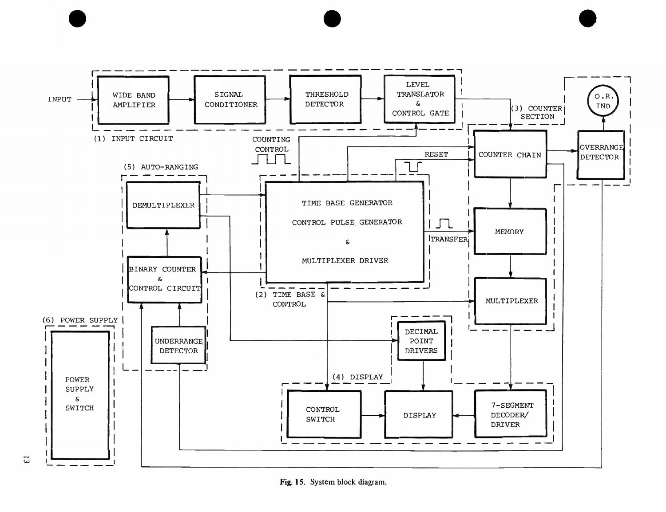

e en  $\bullet$  en  $\bullet$  en  $\bullet$  en  $\bullet$ 

Fig. 15. System block diagram.

 $\overline{\omega}$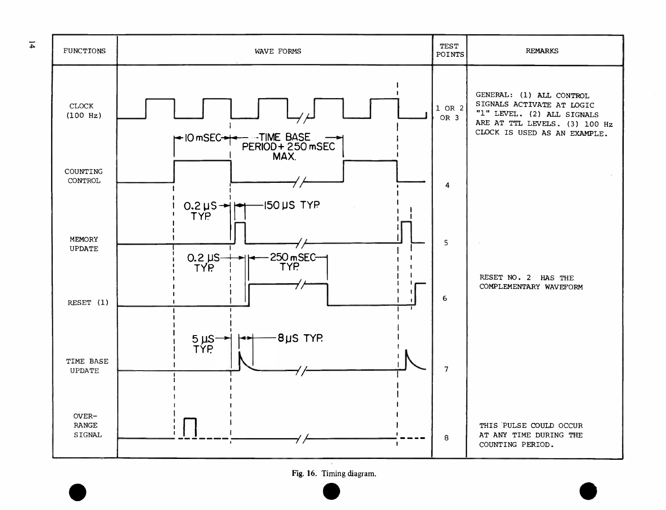

Fig. 16. Timing diagram.  $\bullet$  and  $\bullet$  and  $\bullet$  and  $\bullet$  and  $\bullet$ 

 $\overline{1}$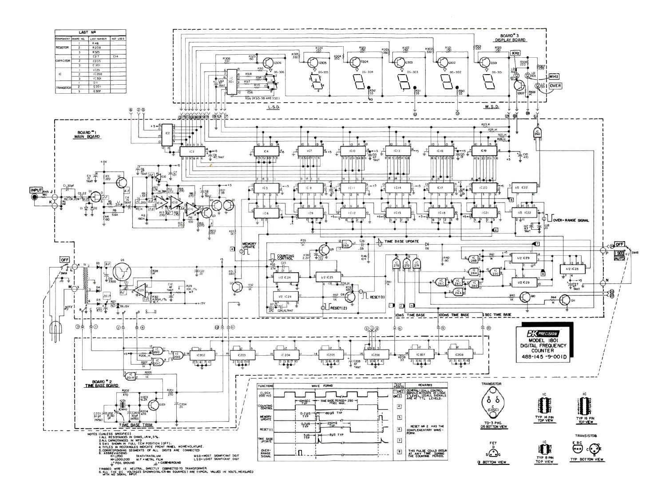

THIBBEU WIRE IS NEUTRAL, UNIECTET COMINECTED TO TRANSFORMER.<br>6.ALL THE DC VOLTAGES SHOWN(ITALICS IN SQUARES) ARE TYPICAL VALUES IN VOLTS,MEASURED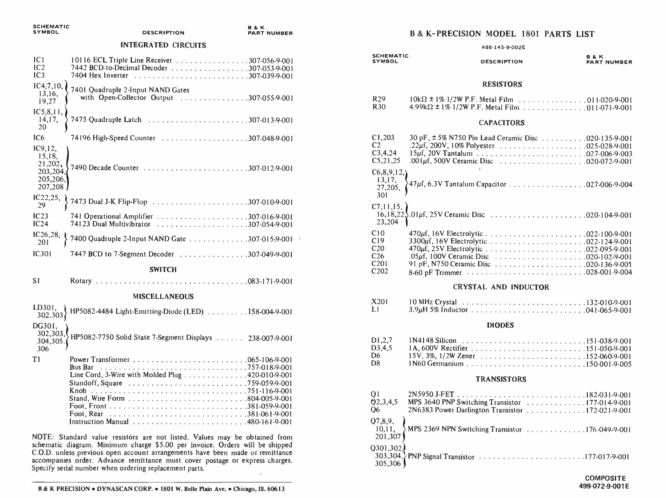| <b>SCHEMATIC</b><br><b>SYMBOL</b>                                | <b>DESCRIPTION</b>                                                                                                                                                                                                                          | <b>B&amp;K</b><br><b>PART NUMBER</b> |
|------------------------------------------------------------------|---------------------------------------------------------------------------------------------------------------------------------------------------------------------------------------------------------------------------------------------|--------------------------------------|
|                                                                  | <b>INTEGRATED CIRCUITS</b>                                                                                                                                                                                                                  |                                      |
| C <br>IC <sub>2</sub><br>IC3                                     | 10116 ECL Triple Line Receiver 307-056-9-001<br>7442 BCD-to-Decimal Decoder 307-053-9-001                                                                                                                                                   |                                      |
| IC4,7,10,<br>13,16,<br>19,27                                     | 7401 Quadruple 2-Input NAND Gates<br>with Open-Collector Output 307-055-9-001                                                                                                                                                               |                                      |
| IC5, 8, 11,<br>14,17,<br>20                                      |                                                                                                                                                                                                                                             |                                      |
| IC <sub>6</sub>                                                  |                                                                                                                                                                                                                                             |                                      |
| IC9, 12,<br>15,18,<br>21,202,<br>203,204,<br>205,206,<br>207,208 | 7490 Decade Counter 307-012-9-001                                                                                                                                                                                                           |                                      |
| IC22, 25,<br>29                                                  | 7473 Dual J-K Flip-Flop 307-010-9-001                                                                                                                                                                                                       |                                      |
| IC23<br>IC24                                                     | 74123 Dual Multivibrator 307-054-9-001                                                                                                                                                                                                      |                                      |
| IC26, 28,<br>201                                                 | 7400 Quadruple 2-Input NAND Gate 307-015-9-001                                                                                                                                                                                              |                                      |
| <b>IC301</b>                                                     | 7447 BCD to 7-Segment Decoder 307-049-9-001                                                                                                                                                                                                 |                                      |
|                                                                  | <b>SWITCH</b>                                                                                                                                                                                                                               |                                      |
| S <sub>1</sub>                                                   |                                                                                                                                                                                                                                             |                                      |
|                                                                  | <b>MISCELLANEOUS</b>                                                                                                                                                                                                                        |                                      |
| LD301.<br>302,303                                                | HP5082-4484 Light-Emitting-Diode (LED) 158-004-9-001                                                                                                                                                                                        |                                      |
| DG301,<br>304,305,<br>306                                        | 302,303, HP5082-7750 Solid State 7-Segment Displays  238-007-9-001                                                                                                                                                                          |                                      |
| T1                                                               | <b>Bus Bar</b><br>$\ldots \ldots \ldots \ldots \ldots \ldots 757-018-9-001$<br>Line Cord, 3-Wire with Molded Plug 420-010-9-001                                                                                                             |                                      |
|                                                                  | NOTE: Standard value resistors are not listed. Values may be obtained from<br>schematic diagram. Minimum charge \$5.00 per invoice. Orders will be shipped<br>C.O.D. unless previous open account arrangements have been made or remittance |                                      |

# B & K- PRECISION MODEL 1801 PARTS LIST

| <b>SCHEMATIC</b><br><b>SYMBOL</b>                                                        | 488-145-9-002E<br><b>DESCRIPTION</b>                                                                               | <b>B&amp;K</b><br><b>PART NUMBER</b> |
|------------------------------------------------------------------------------------------|--------------------------------------------------------------------------------------------------------------------|--------------------------------------|
|                                                                                          | <b>RESISTORS</b>                                                                                                   |                                      |
| R <sub>29</sub><br>R <sub>30</sub>                                                       | $10k\Omega \pm 1\%$ 1/2W P.F. Metal Film 011-020-9-001<br>$4.99k\Omega \pm 1\%$ 1/2W P.F. Metal Film 011-071-9-001 |                                      |
|                                                                                          | <b>CAPACITORS</b>                                                                                                  |                                      |
| C1,203<br>C <sub>2</sub><br>C3, 4, 24<br>C5, 21, 25                                      | 30 pF, ± 5% N750 Pin Lead Ceramic Disc 020-135-9-001<br>.22µf, 200V, 10% Polyester 025-028-9-001                   |                                      |
| C6, 8, 9, 12,<br>13,17,<br>27,205,<br>301                                                | 47µf, 6.3V Tantalum Capacitor 027-006-9-004                                                                        |                                      |
| C7, 11, 15,<br>23,204                                                                    |                                                                                                                    |                                      |
| C10<br>C19<br>C <sub>20</sub><br>C <sub>26</sub><br>C <sub>201</sub><br>C <sub>202</sub> |                                                                                                                    |                                      |
|                                                                                          | <b>CRYSTAL AND INDUCTOR</b>                                                                                        |                                      |
| X201<br>L1                                                                               |                                                                                                                    |                                      |
| <b>DIODES</b>                                                                            |                                                                                                                    |                                      |
| D1, 2, 7<br>D3, 4, 5<br>D <sub>6</sub><br>D <sub>8</sub>                                 |                                                                                                                    |                                      |
|                                                                                          | <b>TRANSISTORS</b>                                                                                                 |                                      |
| $\bigcap$ 1                                                                              | <b>ANCOCA LEPT</b>                                                                                                 | 102.031.0.001                        |

| Q <sub>1</sub><br>Q2,3,4,5<br>O <sub>6</sub> | MPS 3640 PNP Switching Transistor 177-014-9-001<br>2N6383 Power Darlington Transistor 172-021-9-001 |
|----------------------------------------------|-----------------------------------------------------------------------------------------------------|
| 201,307                                      | $Q7,8,9,$ 10,11, MPS 2369 NPN Switching Transistor 176.049-9-001                                    |
| 305,306                                      |                                                                                                     |

Specify serial number when ordering replacement parts.

accompanies order. Advance remittance must cover postage or express charges.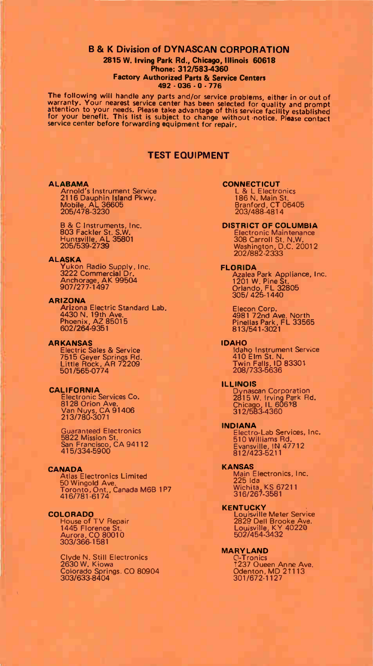#### B & K Division of DYNASCAN CORPORATION 2815 W. Irving Park Rd., Chicago, Illinois 60618 Phone: 312/583-4360 Factory Authorized Parts & Service Centers 492 - 036 - 0 - 776

The concerning will manilate any parts and/or service problems, either in or out of<br>attention to your needs. Please take advantage of this service facility and prompt<br>attention to your needs. Please take advantage of this service center before forwarding equipment for repair.

### TEST EQUIPMENT

ALABAMA CONNECTICUT<br>
Arnold's Instrument Service<br>
2116 Dauphin Island Pkwy.<br>
Mobile, AL 36605<br>
205/478-3230 205/478-3230 205/478-4814

#### ALASKA

Yukon Radio Supply, Inc. 3222 Commercial Dr. Anchorage, AK 99504 907/277-1497

#### ARIZONA

Arizona Electric Standard Lab. 4430 N. 19th Ave. Phoenix, AZ 85015 602/264-9351

#### ARKANSAS

Electric Sales & Service 7515 Geyer Springs Rd. Little Rock, AR 72209 501/565-0774

CALIFORNIA Electronic Services Co. 8128 Orion Ave. Van Nuys, CA 91406 213/780-3071

Guaranteed Electronics 5822 Mission St. San Francisco, CA 94112 415/334-5900

#### CANADA

Atlas Electronics Limited 50 Wingold Ave. Toronto, Ont., Canada M6B 1P7 416/781-6174

Aurora, CO 80010 502/454-3432 303/366-1581

Clyde N. Still Electronics C-Tronics 2630 W. Kiowa '237 Queen Anne Ave. Colorado Springs, CO 80904 Odenton, MD 21113 303/633-8404 301/672-1127

**DISTRICT OF COLUMBIA**<br>Electronic Maintenance 803 Fackler St. S.W. Electronic Maintenance Huntsville, AL 35801 308 Carroll St. N.W. 205/539-2739 Washington, D.C. 20012 202/882-2333

FLORIDA Azalea Park Appliance, Inc. 1201 W. Pine St. Orlando, FL 32805 305/ 425-1440

Elecon Corp. 4981 72nd Ave. North Pinellas Park, FL 33565 813/541-3021

IDAHO Idaho Instrument Service 410 Elm St. N. Twin Falls, ID 83301 208/733-5636

#### ILLINOIS

Dynascan Corporation<br>2815 W. Irving Park Rd.<br>Chicago, IL 60618<br>312/583-4360

#### INDIANA

Electro-Lab Services, Inc. 510 Williams Rd. Evansville, IN 47712 812/423-5211

KANSAS Main Electronics, Inc. 225 Ida Wichita, KS 67211 316/267-3581

#### **KENTUCKY**

COLORADO Louisville Meter Service<br>
House of TV Repair 2829 Dell Brooke Ave.<br>
1445 Florence St, Louisville, KY 40220

MARYLAND<br>C-Tronics<br>1237 Oueen Anne Ave.<br>Odenton, MD 21113<br>301/672-1127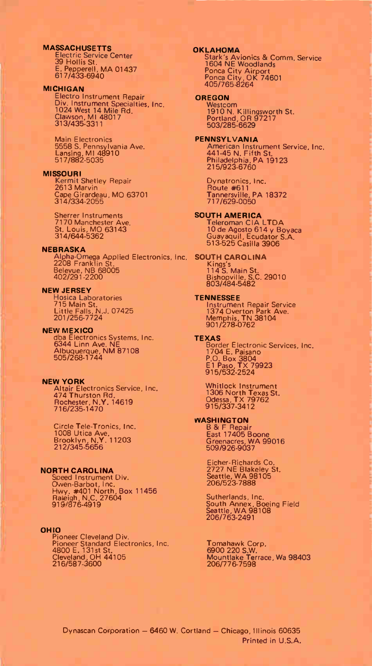#### MASSACHUSETTS

Electric Service Center 39 Hollis St. E. Pepperell, MA 01437 617/433-6940

#### MICHIGAN

Electra Instrument Repair Div. Instrument Specialties, Inc. 1024 West 14 Mile Rd. Clawson, MI 48017 31 35-3311

Main Electronics 5558 S. Pennsylvania Ave. Lansing, MI 48910 517/882-5035

MISSOURI<br>
Kermit Shetley Repair<br>
2613 Marvin<br>
Cape Girardeau, MO 63701<br>
314/334-2055

Sherrer Instruments 7170 Manchester Ave. St. Louis, MO 63143 314/644-5362

#### **NEBRASKA**

Alpha-Omega Applied Electronics, Inc. 2208 Franklin St. SOUTH CAROLINA Kings's Belevue, NB 68005 402/291-2200

#### NEW JERSEY

Hosica Laboratories 715 Main St. Little Falls, N.J. 07425 201/256-7724

#### NEW MEXICO

dba Electronics Systems, Inc. 6344 Linn Ave. NE Albuquerque, NM 87108 505/268-1744

#### NEW YORK

Altair Electronics Service, Inc. 474 Thurston Rd. Rochester, N.Y. 14619 716/235-1470

Circle Tele-Tronics, Inc. 1008 Utica Ave. Brooklyn, N.Y. 11203 212/345-5656

#### NORTH CAROLINA

Speed Instrument Div, Owen-Barbot, Inc.<br>Hwy. #401 North, Box 11456<br>Raieigh, N.C. 27604<br>919/876-4919

OHIO Pioneer Cleveland Div. Pioneer Standard Electronics, Inc. 4800 E. 131st St. Cleveland, OH 44105 216/587-3600

#### OKLAHOMA

Stark's Avionics & Comm. Service 1604 NE Woodlands Ponca City Airport Ponca City, OK 74601 405/765-8264

#### **OREGON**

Westcom 1910 N. Killingsworth St. Portland, OR 97217 503/285-6629

# PENNSYLVANIA American Instrument Service, Inc. 441-45 N. Fifth St. Philadelphia, PA 19123 215/923-6760

Dynatronics, Inc. Route #611 Tannersville, PA 18372 717/629-0050

#### SOUTH AMERICA

Teleroman CIA LTDA<br>10 de Agosto 614 y Boyaca<br>Guayaquil, Ecudator S.A.<br>513-525 Casilla 3906

114 S. Main St. Bishopville, S.C. 29010 803/484-5482

### **TENNESSEE**

Instrument Repair Service 1374 Overton Park Ave. Memphis, TN 38104 901/278-0762

TEXAS Border Electronic Services, Inc. 1704 E. Paisano P.O. Box 3804 El Paso, TX 79923 915/532-2524

Whitlock Instrument 1306 North Texas St. Odessa, T X 79762 915/337-3412

#### WASHINGTON

B & F Repair<br>East 17405 Boone<br>Greenacres, WA 99016<br>509/926-9037

Eicher-Richards Co. 2727 NE Blakeley St. Seattle, WA 98105 206/523-7888

Sutherlands, Inc. South Annex, Boeing Field Seattle, WA 98108 206/763-2491

Tomanawk Corp.<br>6900 220 S.W.<br>Mountlake Terrace, Wa 98403<br>206/776-7598

Dynascan Corporation — 6460 W. Cortland — Chicago, Illinois 60635 Printed in U.S.A.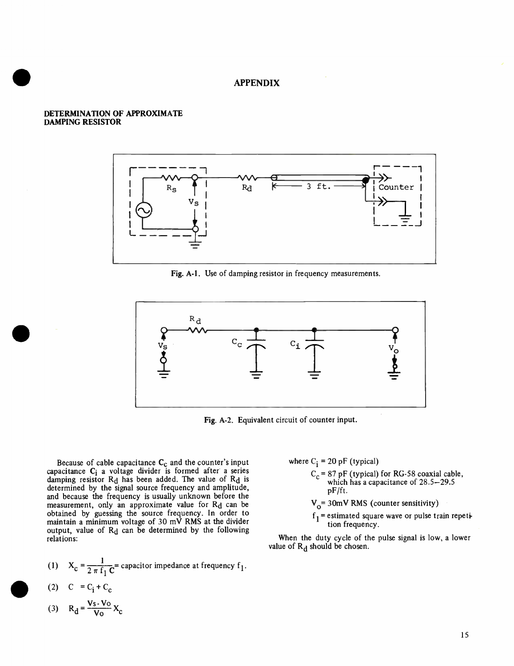# ended a supervoltage of the APPENDIX

## DETERMINATION OF APPROXIMATE DAMPING RESISTOR



Fig. A-1. Use of damping resistor in frequency measurements.



Fig. A-2. Equivalent circuit of counter input.

because of cable capacitance  $\mathbf{c}_c$  and the counter's input capacitance  $\mathbf{c}_i$  a voltage divider is formed after a series damping resistor Rd has been added. The value of Rd is determined by the signal source frequency and amplitude, and because the frequency is usually unknown before the measurement, only an approximate value for Rd can be obtained by guessing the source frequency. In order to maintain a minimum voltage of 30 mV RMS at the divider output, value of  $R_d$  can be determined by the following relations:

(1) 
$$
X_C = \frac{1}{2 \pi f_1 C}
$$
 = capacitor impedance at frequency f<sub>1</sub>.

$$
(2) \quad C = C_i + C_c
$$

$$
(3) \qquad R_d = \frac{V_s - V_o}{V_o} X_c
$$

where  $C_i = 20$  pF (typical)

 $C_c$  = 87 pF (typical) for RG-58 coaxial cable, which has a capacitance of  $28.5-29.5$ pF/ft.

 $V_0$ = 30mV RMS (counter sensitivity)

 $f_1$  = estimated square wave or pulse train repetition frequency.

When the duty cycle of the pulse signal is low, a lower value of  $R_d$  should be chosen.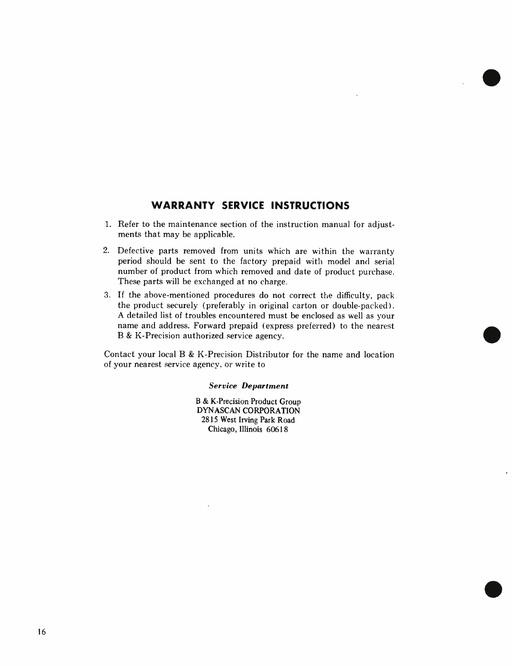# WARRANTY SERVICE INSTRUCTIONS

- 1. Refer to the maintenance section of the instruction manual for adjustments that may be applicable.
- 2. Defective parts removed from units which are within the warranty period should be sent to the factory prepaid with model and serial number of product from which removed and date of product purchase. These parts will be exchanged at no charge.
- 3. If the above-mentioned procedures do not correct the difficulty, pack the product securely (preferably in original carton or double-packed). A detailed list of troubles encountered must be enclosed as well as your name and address. Forward prepaid (express preferred) to the nearest B & K-Precision authorized service agency.

Contact your local B & K-Precision Distributor for the name and location of your nearest service agency, or write to

### Service Department

B & K-Precision Product Group DYNASCAN CORPORATION 2815 West Irving Park Road Chicago, Illinois 60618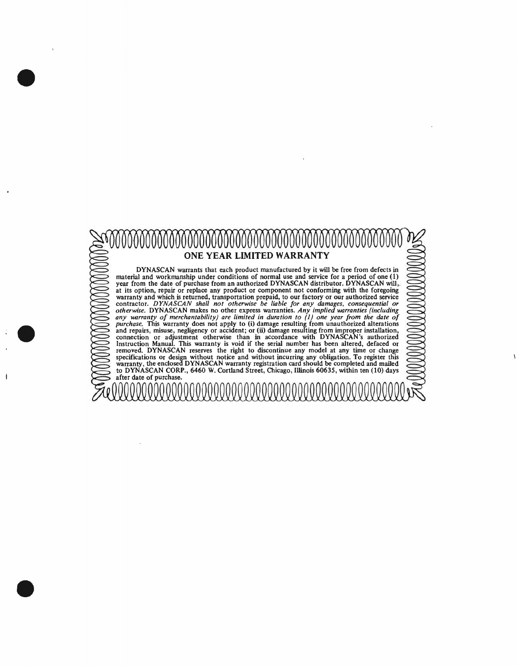

•

•